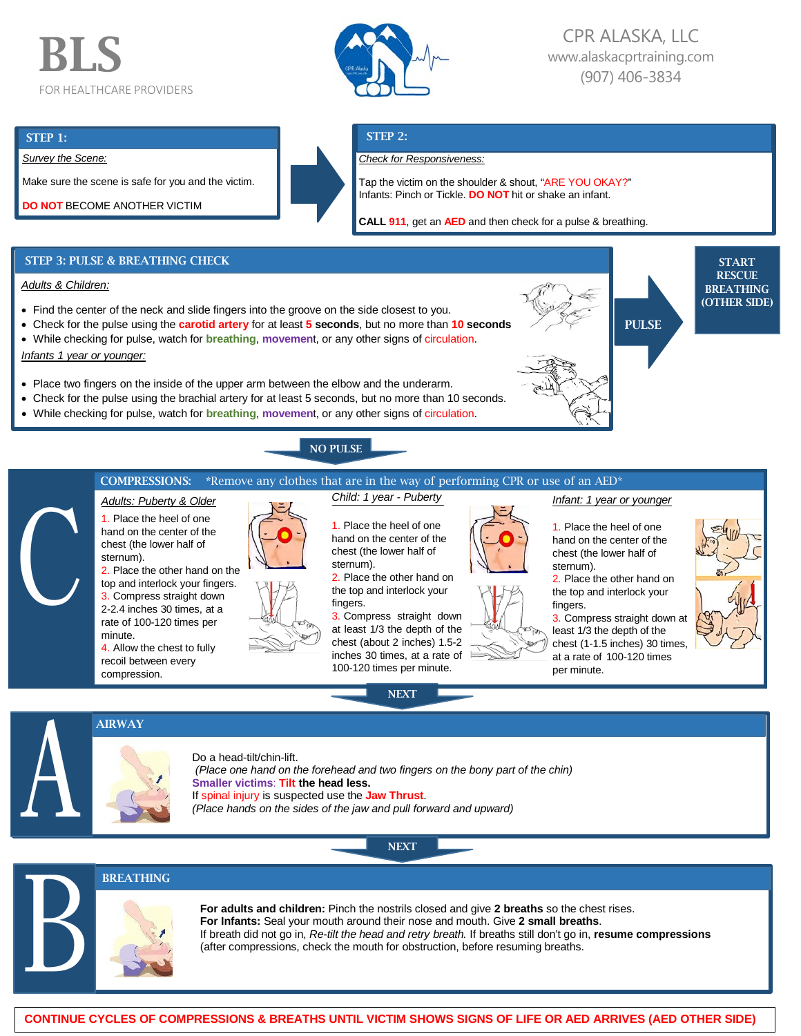# BLS FOR HEALTHCARE PROVIDERS



# CPR ALASKA, LLC [www.alaskacprtraining.com](http://www.alaskacprtraining.com/) (907) 406-3834

PULSE

### STEP 1:

*Survey the Scene:*

Make sure the scene is safe for you and the victim.





Tap the victim on the shoulder & shout, "ARE YOU OKAY?" Infants: Pinch or Tickle. **DO NOT** hit or shake an infant.

**CALL 911**, get an **AED** and then check for a pulse & breathing.

# STEP 3: PULSE & BREATHING CHECK

## *Adults & Children:*

- Find the center of the neck and slide fingers into the groove on the side closest to you.
- Check for the pulse using the **carotid artery** for at least **5 seconds**, but no more than **10 seconds**
- While checking for pulse, watch for **breathing**, **movemen**t, or any other signs of circulation.

*Infants 1 year or younger:*

- Place two fingers on the inside of the upper arm between the elbow and the underarm.
- Check for the pulse using the brachial artery for at least 5 seconds, but no more than 10 seconds.
- While checking for pulse, watch for **breathing**, **movemen**t, or any other signs of circulation.



# COMPRESSIONS: \*Remove any clothes that are in the way of performing CPR or use of an AED\*



A

B

*Adults: Puberty & Older* 1. Place the heel of one hand on the center of the chest (the lower half of sternum). 2. Place the other hand on the

top and interlock your fingers. 3. Compress straight down 2-2.4 inches 30 times, at a rate of 100-120 times per minute.

4. Allow the chest to fully recoil between every compression.

AIRWAY



1. Place the heel of one hand on the center of the chest (the lower half of sternum).

*Child: 1 year - Puberty*

2. Place the other hand on the top and interlock your fingers.

3. Compress straight down at least 1/3 the depth of the chest (about 2 inches) 1.5-2 inches 30 times, at a rate of 100-120 times per minute.

NEXT





#### *Infant: 1 year or younger*

1. Place the heel of one hand on the center of the chest (the lower half of sternum).

2. Place the other hand on the top and interlock your fingers.

3. Compress straight down at least 1/3 the depth of the chest (1-1.5 inches) 30 times, at a rate of 100-120 times per minute.



**START RESCUE** BREATHING (OTHER SIDE)

# Do a head-tilt/chin-lift.

*(Place one hand on the forehead and two fingers on the bony part of the chin)* **Smaller victims**: **Tilt the head less.** If spinal injury is suspected use the **Jaw Thrust**. *(Place hands on the sides of the jaw and pull forward and upward)*

**NEXT** 



**For adults and children:** Pinch the nostrils closed and give **2 breaths** so the chest rises. **For Infants:** Seal your mouth around their nose and mouth. Give **2 small breaths**. If breath did not go in, *Re-tilt the head and retry breath.* If breaths still don't go in, **resume compressions** (after compressions, check the mouth for obstruction, before resuming breaths.